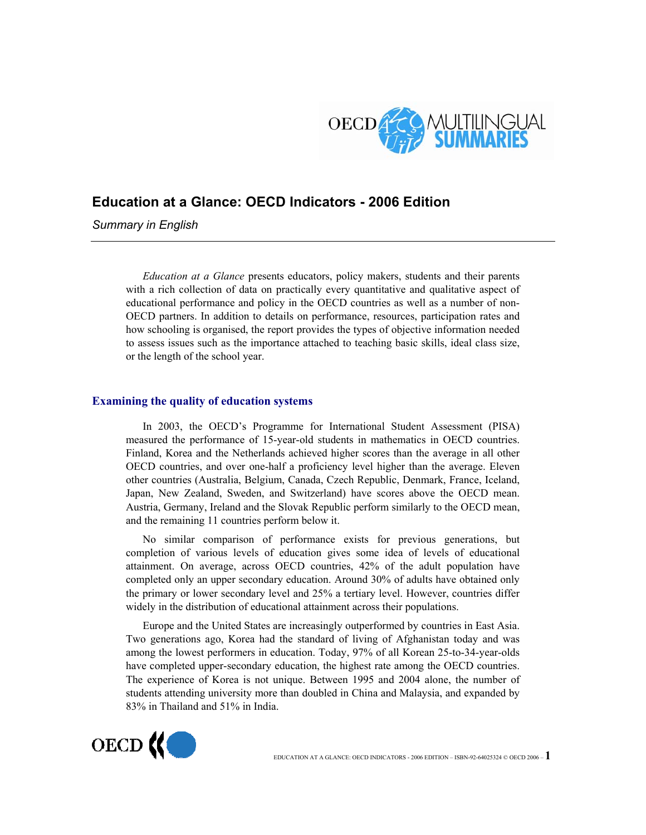

# **Education at a Glance: OECD Indicators - 2006 Edition**

*Summary in English* 

*Education at a Glance* presents educators, policy makers, students and their parents with a rich collection of data on practically every quantitative and qualitative aspect of educational performance and policy in the OECD countries as well as a number of non-OECD partners. In addition to details on performance, resources, participation rates and how schooling is organised, the report provides the types of objective information needed to assess issues such as the importance attached to teaching basic skills, ideal class size, or the length of the school year.

# **Examining the quality of education systems**

In 2003, the OECD's Programme for International Student Assessment (PISA) measured the performance of 15-year-old students in mathematics in OECD countries. Finland, Korea and the Netherlands achieved higher scores than the average in all other OECD countries, and over one-half a proficiency level higher than the average. Eleven other countries (Australia, Belgium, Canada, Czech Republic, Denmark, France, Iceland, Japan, New Zealand, Sweden, and Switzerland) have scores above the OECD mean. Austria, Germany, Ireland and the Slovak Republic perform similarly to the OECD mean, and the remaining 11 countries perform below it.

No similar comparison of performance exists for previous generations, but completion of various levels of education gives some idea of levels of educational attainment. On average, across OECD countries, 42% of the adult population have completed only an upper secondary education. Around 30% of adults have obtained only the primary or lower secondary level and 25% a tertiary level. However, countries differ widely in the distribution of educational attainment across their populations.

Europe and the United States are increasingly outperformed by countries in East Asia. Two generations ago, Korea had the standard of living of Afghanistan today and was among the lowest performers in education. Today, 97% of all Korean 25-to-34-year-olds have completed upper-secondary education, the highest rate among the OECD countries. The experience of Korea is not unique. Between 1995 and 2004 alone, the number of students attending university more than doubled in China and Malaysia, and expanded by 83% in Thailand and 51% in India.

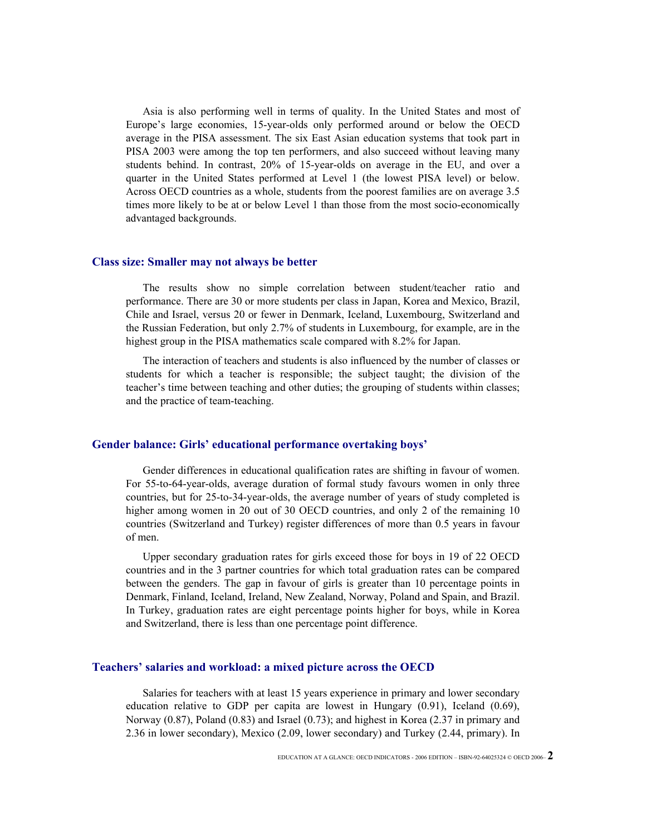Asia is also performing well in terms of quality. In the United States and most of Europe's large economies, 15-year-olds only performed around or below the OECD average in the PISA assessment. The six East Asian education systems that took part in PISA 2003 were among the top ten performers, and also succeed without leaving many students behind. In contrast, 20% of 15-year-olds on average in the EU, and over a quarter in the United States performed at Level 1 (the lowest PISA level) or below. Across OECD countries as a whole, students from the poorest families are on average 3.5 times more likely to be at or below Level 1 than those from the most socio-economically advantaged backgrounds.

#### **Class size: Smaller may not always be better**

The results show no simple correlation between student/teacher ratio and performance. There are 30 or more students per class in Japan, Korea and Mexico, Brazil, Chile and Israel, versus 20 or fewer in Denmark, Iceland, Luxembourg, Switzerland and the Russian Federation, but only 2.7% of students in Luxembourg, for example, are in the highest group in the PISA mathematics scale compared with 8.2% for Japan.

The interaction of teachers and students is also influenced by the number of classes or students for which a teacher is responsible; the subject taught; the division of the teacher's time between teaching and other duties; the grouping of students within classes; and the practice of team-teaching.

#### **Gender balance: Girls' educational performance overtaking boys'**

Gender differences in educational qualification rates are shifting in favour of women. For 55-to-64-year-olds, average duration of formal study favours women in only three countries, but for 25-to-34-year-olds, the average number of years of study completed is higher among women in 20 out of 30 OECD countries, and only 2 of the remaining 10 countries (Switzerland and Turkey) register differences of more than 0.5 years in favour of men.

Upper secondary graduation rates for girls exceed those for boys in 19 of 22 OECD countries and in the 3 partner countries for which total graduation rates can be compared between the genders. The gap in favour of girls is greater than 10 percentage points in Denmark, Finland, Iceland, Ireland, New Zealand, Norway, Poland and Spain, and Brazil. In Turkey, graduation rates are eight percentage points higher for boys, while in Korea and Switzerland, there is less than one percentage point difference.

### **Teachers' salaries and workload: a mixed picture across the OECD**

Salaries for teachers with at least 15 years experience in primary and lower secondary education relative to GDP per capita are lowest in Hungary (0.91), Iceland (0.69), Norway (0.87), Poland (0.83) and Israel (0.73); and highest in Korea (2.37 in primary and 2.36 in lower secondary), Mexico (2.09, lower secondary) and Turkey (2.44, primary). In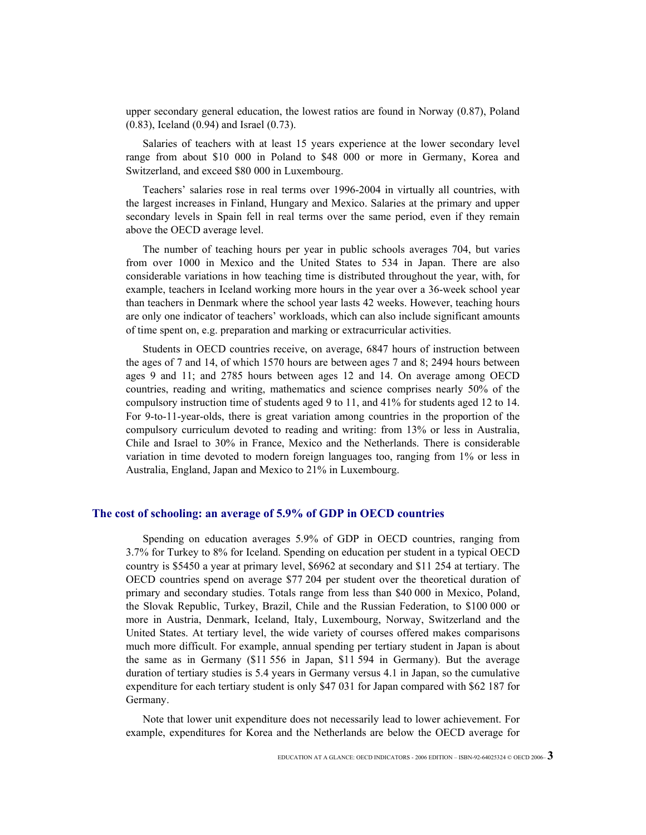upper secondary general education, the lowest ratios are found in Norway (0.87), Poland (0.83), Iceland (0.94) and Israel (0.73).

Salaries of teachers with at least 15 years experience at the lower secondary level range from about \$10 000 in Poland to \$48 000 or more in Germany, Korea and Switzerland, and exceed \$80 000 in Luxembourg.

Teachers' salaries rose in real terms over 1996-2004 in virtually all countries, with the largest increases in Finland, Hungary and Mexico. Salaries at the primary and upper secondary levels in Spain fell in real terms over the same period, even if they remain above the OECD average level.

The number of teaching hours per year in public schools averages 704, but varies from over 1000 in Mexico and the United States to 534 in Japan. There are also considerable variations in how teaching time is distributed throughout the year, with, for example, teachers in Iceland working more hours in the year over a 36-week school year than teachers in Denmark where the school year lasts 42 weeks. However, teaching hours are only one indicator of teachers' workloads, which can also include significant amounts of time spent on, e.g. preparation and marking or extracurricular activities.

Students in OECD countries receive, on average, 6847 hours of instruction between the ages of 7 and 14, of which 1570 hours are between ages 7 and 8; 2494 hours between ages 9 and 11; and 2785 hours between ages 12 and 14. On average among OECD countries, reading and writing, mathematics and science comprises nearly 50% of the compulsory instruction time of students aged 9 to 11, and 41% for students aged 12 to 14. For 9-to-11-year-olds, there is great variation among countries in the proportion of the compulsory curriculum devoted to reading and writing: from 13% or less in Australia, Chile and Israel to 30% in France, Mexico and the Netherlands. There is considerable variation in time devoted to modern foreign languages too, ranging from 1% or less in Australia, England, Japan and Mexico to 21% in Luxembourg.

#### **The cost of schooling: an average of 5.9% of GDP in OECD countries**

Spending on education averages 5.9% of GDP in OECD countries, ranging from 3.7% for Turkey to 8% for Iceland. Spending on education per student in a typical OECD country is \$5450 a year at primary level, \$6962 at secondary and \$11 254 at tertiary. The OECD countries spend on average \$77 204 per student over the theoretical duration of primary and secondary studies. Totals range from less than \$40 000 in Mexico, Poland, the Slovak Republic, Turkey, Brazil, Chile and the Russian Federation, to \$100 000 or more in Austria, Denmark, Iceland, Italy, Luxembourg, Norway, Switzerland and the United States. At tertiary level, the wide variety of courses offered makes comparisons much more difficult. For example, annual spending per tertiary student in Japan is about the same as in Germany (\$11 556 in Japan, \$11 594 in Germany). But the average duration of tertiary studies is 5.4 years in Germany versus 4.1 in Japan, so the cumulative expenditure for each tertiary student is only \$47 031 for Japan compared with \$62 187 for Germany.

Note that lower unit expenditure does not necessarily lead to lower achievement. For example, expenditures for Korea and the Netherlands are below the OECD average for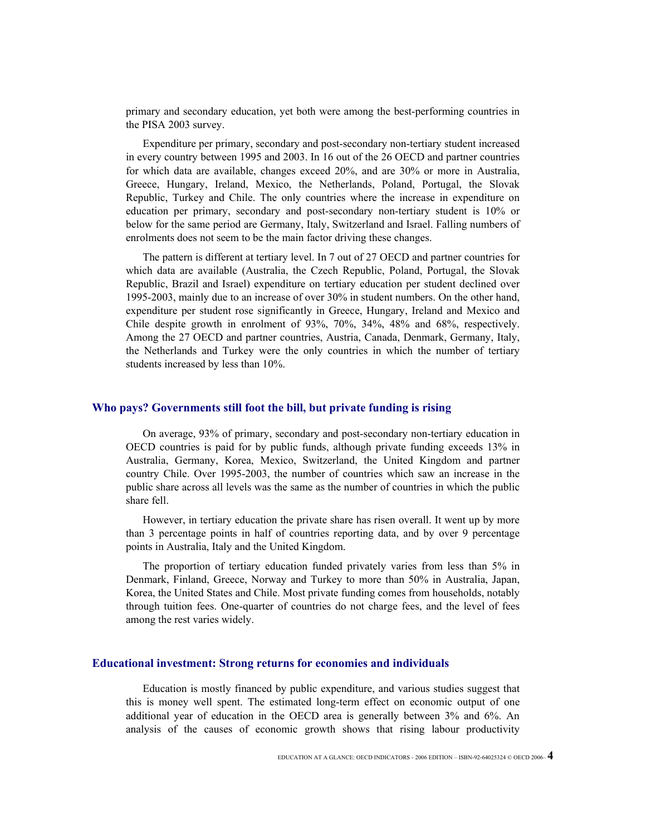primary and secondary education, yet both were among the best-performing countries in the PISA 2003 survey.

Expenditure per primary, secondary and post-secondary non-tertiary student increased in every country between 1995 and 2003. In 16 out of the 26 OECD and partner countries for which data are available, changes exceed 20%, and are 30% or more in Australia, Greece, Hungary, Ireland, Mexico, the Netherlands, Poland, Portugal, the Slovak Republic, Turkey and Chile. The only countries where the increase in expenditure on education per primary, secondary and post-secondary non-tertiary student is 10% or below for the same period are Germany, Italy, Switzerland and Israel. Falling numbers of enrolments does not seem to be the main factor driving these changes.

The pattern is different at tertiary level. In 7 out of 27 OECD and partner countries for which data are available (Australia, the Czech Republic, Poland, Portugal, the Slovak Republic, Brazil and Israel) expenditure on tertiary education per student declined over 1995-2003, mainly due to an increase of over 30% in student numbers. On the other hand, expenditure per student rose significantly in Greece, Hungary, Ireland and Mexico and Chile despite growth in enrolment of 93%, 70%, 34%, 48% and 68%, respectively. Among the 27 OECD and partner countries, Austria, Canada, Denmark, Germany, Italy, the Netherlands and Turkey were the only countries in which the number of tertiary students increased by less than 10%.

#### **Who pays? Governments still foot the bill, but private funding is rising**

On average, 93% of primary, secondary and post-secondary non-tertiary education in OECD countries is paid for by public funds, although private funding exceeds 13% in Australia, Germany, Korea, Mexico, Switzerland, the United Kingdom and partner country Chile. Over 1995-2003, the number of countries which saw an increase in the public share across all levels was the same as the number of countries in which the public share fell.

However, in tertiary education the private share has risen overall. It went up by more than 3 percentage points in half of countries reporting data, and by over 9 percentage points in Australia, Italy and the United Kingdom.

The proportion of tertiary education funded privately varies from less than 5% in Denmark, Finland, Greece, Norway and Turkey to more than 50% in Australia, Japan, Korea, the United States and Chile. Most private funding comes from households, notably through tuition fees. One-quarter of countries do not charge fees, and the level of fees among the rest varies widely.

#### **Educational investment: Strong returns for economies and individuals**

Education is mostly financed by public expenditure, and various studies suggest that this is money well spent. The estimated long-term effect on economic output of one additional year of education in the OECD area is generally between 3% and 6%. An analysis of the causes of economic growth shows that rising labour productivity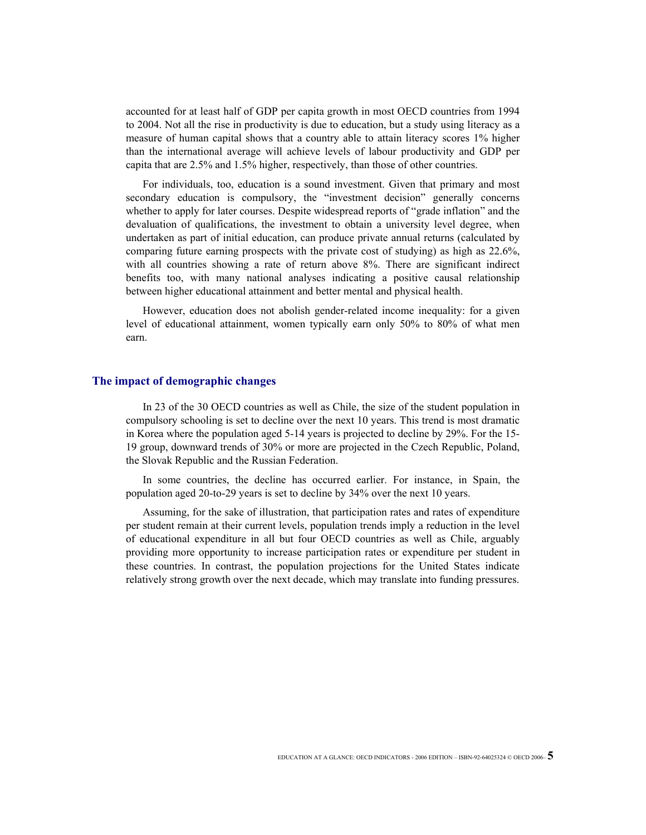accounted for at least half of GDP per capita growth in most OECD countries from 1994 to 2004. Not all the rise in productivity is due to education, but a study using literacy as a measure of human capital shows that a country able to attain literacy scores 1% higher than the international average will achieve levels of labour productivity and GDP per capita that are 2.5% and 1.5% higher, respectively, than those of other countries.

For individuals, too, education is a sound investment. Given that primary and most secondary education is compulsory, the "investment decision" generally concerns whether to apply for later courses. Despite widespread reports of "grade inflation" and the devaluation of qualifications, the investment to obtain a university level degree, when undertaken as part of initial education, can produce private annual returns (calculated by comparing future earning prospects with the private cost of studying) as high as 22.6%, with all countries showing a rate of return above 8%. There are significant indirect benefits too, with many national analyses indicating a positive causal relationship between higher educational attainment and better mental and physical health.

However, education does not abolish gender-related income inequality: for a given level of educational attainment, women typically earn only 50% to 80% of what men earn.

#### **The impact of demographic changes**

In 23 of the 30 OECD countries as well as Chile, the size of the student population in compulsory schooling is set to decline over the next 10 years. This trend is most dramatic in Korea where the population aged 5-14 years is projected to decline by 29%. For the 15- 19 group, downward trends of 30% or more are projected in the Czech Republic, Poland, the Slovak Republic and the Russian Federation.

In some countries, the decline has occurred earlier. For instance, in Spain, the population aged 20-to-29 years is set to decline by 34% over the next 10 years.

Assuming, for the sake of illustration, that participation rates and rates of expenditure per student remain at their current levels, population trends imply a reduction in the level of educational expenditure in all but four OECD countries as well as Chile, arguably providing more opportunity to increase participation rates or expenditure per student in these countries. In contrast, the population projections for the United States indicate relatively strong growth over the next decade, which may translate into funding pressures.